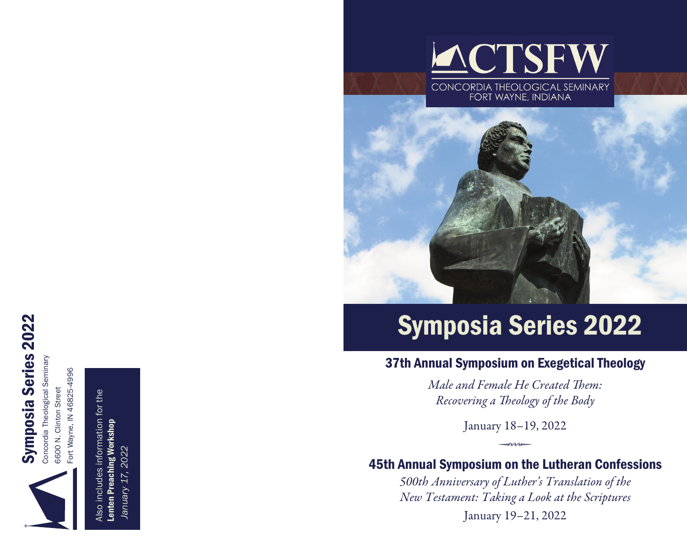



Fort Wayne, IN 46825-4996 Fort Wayne, IN 46825-4996 Also includes information for the Also includes information for the

Lenten Preaching Workshop Lenten Preaching Workshop January 17, 2022  *January 17, 2022*



# Symposia Series 2022

## 37th Annual Symposium on Exegetical Theology

*Male and Female He Created Them: Recovering a Theology of the Body*

> January 18–19, 2022  $\rightarrow$

## 45th Annual Symposium on the Lutheran Confessions

*500th Anniversary of Luther's Translation of the New Testament: Taking a Look at the Scriptures*  January 19–21, 2022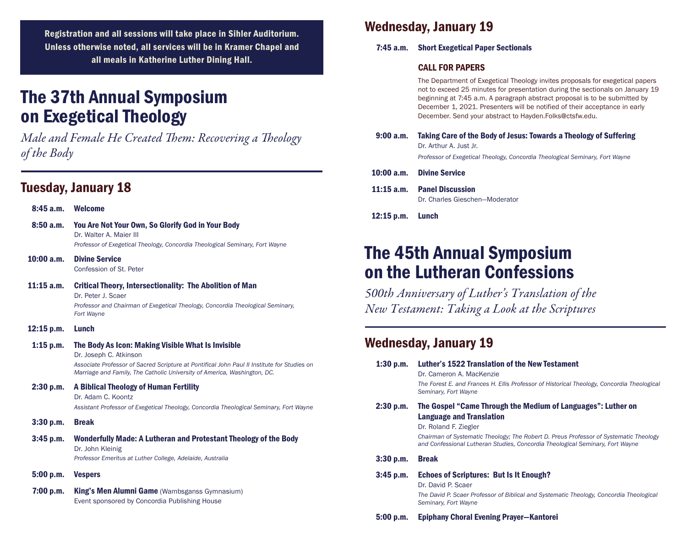Registration and all sessions will take place in Sihler Auditorium. Unless otherwise noted, all services will be in Kramer Chapel and all meals in Katherine Luther Dining Hall.

## The 37th Annual Symposium on Exegetical Theology

*Male and Female He Created Them: Recovering a Theology of the Body* 

## Tuesday, January 18

| 8:45a.m.     | <b>Welcome</b>                                                                                                                                                                                                                                          |
|--------------|---------------------------------------------------------------------------------------------------------------------------------------------------------------------------------------------------------------------------------------------------------|
| 8:50a.m.     | You Are Not Your Own, So Glorify God in Your Body<br>Dr. Walter A. Maier III<br>Professor of Exegetical Theology, Concordia Theological Seminary, Fort Wayne                                                                                            |
| 10:00a.m.    | <b>Divine Service</b><br>Confession of St. Peter                                                                                                                                                                                                        |
| $11:15$ a.m. | <b>Critical Theory, Intersectionality: The Abolition of Man</b><br>Dr. Peter J. Scaer<br>Professor and Chairman of Exegetical Theology, Concordia Theological Seminary,<br>Fort Wayne                                                                   |
| 12:15 p.m.   | Lunch                                                                                                                                                                                                                                                   |
| $1:15$ p.m.  | The Body As Icon: Making Visible What Is Invisible<br>Dr. Joseph C. Atkinson<br>Associate Professor of Sacred Scripture at Pontifical John Paul II Institute for Studies on<br>Marriage and Family, The Catholic University of America, Washington, DC. |
| 2:30 p.m.    | <b>A Biblical Theology of Human Fertility</b><br>Dr. Adam C. Koontz<br>Assistant Professor of Exegetical Theology, Concordia Theological Seminary, Fort Wayne                                                                                           |
| 3:30 p.m.    | <b>Break</b>                                                                                                                                                                                                                                            |
| 3:45 p.m.    | Wonderfully Made: A Lutheran and Protestant Theology of the Body<br>Dr. John Kleinig<br>Professor Emeritus at Luther College, Adelaide, Australia                                                                                                       |
| 5:00 p.m.    | <b>Vespers</b>                                                                                                                                                                                                                                          |
| 7:00 p.m.    | <b>King's Men Alumni Game</b> (Wambsganss Gymnasium)<br>Event sponsored by Concordia Publishing House                                                                                                                                                   |

## Wednesday, January 19

#### 7:45 a.m. Short Exegetical Paper Sectionals

#### CALL FOR PAPERS

The Department of Exegetical Theology invites proposals for exegetical papers not to exceed 25 minutes for presentation during the sectionals on January 19 beginning at 7:45 a.m. A paragraph abstract proposal is to be submitted by December 1, 2021. Presenters will be notified of their acceptance in early December. Send your abstract to Hayden.Folks@ctsfw.edu.

- 9:00 a.m. Taking Care of the Body of Jesus: Towards a Theology of Suffering Dr. Arthur A. Just Jr. *Professor of Exegetical Theology, Concordia Theological Seminary, Fort Wayne*
- 10:00 a.m. Divine Service

11:15 a.m. Panel Discussion Dr. Charles Gieschen—Moderator

12:15 p.m. Lunch

## The 45th Annual Symposium on the Lutheran Confessions

*500th Anniversary of Luther's Translation of the New Testament: Taking a Look at the Scriptures* 

## Wednesday, January 19

| 1:30 p.m.   | Luther's 1522 Translation of the New Testament<br>Dr. Cameron A. MacKenzie<br>The Forest E. and Frances H. Ellis Professor of Historical Theology, Concordia Theological<br>Seminary, Fort Wayne                                                                                                   |
|-------------|----------------------------------------------------------------------------------------------------------------------------------------------------------------------------------------------------------------------------------------------------------------------------------------------------|
| 2:30 p.m.   | The Gospel "Came Through the Medium of Languages": Luther on<br><b>Language and Translation</b><br>Dr. Roland F. Ziegler<br>Chairman of Systematic Theology; The Robert D. Preus Professor of Systematic Theology<br>and Confessional Lutheran Studies, Concordia Theological Seminary, Fort Wayne |
| 3:30 p.m.   | <b>Break</b>                                                                                                                                                                                                                                                                                       |
| $3:45$ p.m. | <b>Echoes of Scriptures: But Is It Enough?</b><br>Dr. David P. Scaer<br>The David P. Scaer Professor of Biblical and Systematic Theology, Concordia Theological<br>Seminary, Fort Wayne                                                                                                            |
| 5:00 p.m.   | <b>Epiphany Choral Evening Prayer–Kantorei</b>                                                                                                                                                                                                                                                     |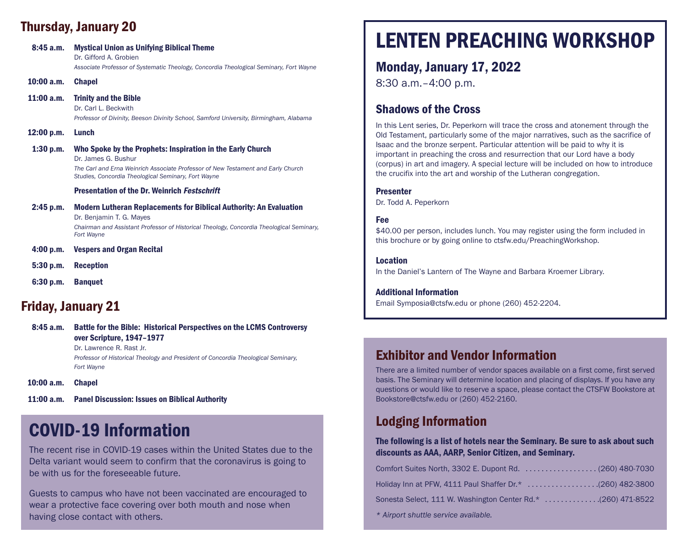## Thursday, January 20

| 8:45a.m.   | <b>Mystical Union as Unifying Biblical Theme</b><br>Dr. Gifford A. Grobien<br>Associate Professor of Systematic Theology, Concordia Theological Seminary, Fort Wayne                                                         |
|------------|------------------------------------------------------------------------------------------------------------------------------------------------------------------------------------------------------------------------------|
| 10:00a.m.  | <b>Chapel</b>                                                                                                                                                                                                                |
| 11:00a.m.  | <b>Trinity and the Bible</b><br>Dr. Carl L. Beckwith<br>Professor of Divinity, Beeson Divinity School, Samford University, Birmingham, Alabama                                                                               |
| 12:00 p.m. | Lunch                                                                                                                                                                                                                        |
| 1:30 p.m.  | Who Spoke by the Prophets: Inspiration in the Early Church<br>Dr. James G. Bushur<br>The Carl and Erna Weinrich Associate Professor of New Testament and Early Church<br>Studies, Concordia Theological Seminary, Fort Wayne |
|            | <b>Presentation of the Dr. Weinrich Festschrift</b>                                                                                                                                                                          |
| 2:45 p.m.  | <b>Modern Lutheran Replacements for Biblical Authority: An Evaluation</b><br>Dr. Benjamin T. G. Mayes<br>Chairman and Assistant Professor of Historical Theology, Concordia Theological Seminary,<br>Fort Wayne              |
| 4:00 p.m.  | <b>Vespers and Organ Recital</b>                                                                                                                                                                                             |
| 5:30 p.m.  | <b>Reception</b>                                                                                                                                                                                                             |
| 6:30 p.m.  | <b>Banguet</b>                                                                                                                                                                                                               |

## Friday, January 21

8:45 a.m. Battle for the Bible: Historical Perspectives on the LCMS Controversy over Scripture, 1947–1977 Dr. Lawrence R. Rast Jr. *Professor of Historical Theology and President of Concordia Theological Seminary, Fort Wayne*

10:00 a.m. Chapel

11:00 a.m. Panel Discussion: Issues on Biblical Authority

## COVID-19 Information

The recent rise in COVID-19 cases within the United States due to the Delta variant would seem to confirm that the coronavirus is going to be with us for the foreseeable future.

Guests to campus who have not been vaccinated are encouraged to wear a protective face covering over both mouth and nose when having close contact with others.

## LENTEN PREACHING WORKSHOP

## Monday, January 17, 2022

8:30 a.m.–4:00 p.m.

### Shadows of the Cross

In this Lent series, Dr. Peperkorn will trace the cross and atonement through the Old Testament, particularly some of the major narratives, such as the sacrifice of Isaac and the bronze serpent. Particular attention will be paid to why it is important in preaching the cross and resurrection that our Lord have a body (corpus) in art and imagery. A special lecture will be included on how to introduce the crucifix into the art and worship of the Lutheran congregation.

#### Presenter

Dr. Todd A. Peperkorn

#### Fee

\$40.00 per person, includes lunch. You may register using the form included in this brochure or by going online to ctsfw.edu/PreachingWorkshop.

#### Location

In the Daniel's Lantern of The Wayne and Barbara Kroemer Library.

#### Additional Information

Email Symposia@ctsfw.edu or phone (260) 452-2204.

## Exhibitor and Vendor Information

There are a limited number of vendor spaces available on a first come, first served basis. The Seminary will determine location and placing of displays. If you have any questions or would like to reserve a space, please contact the CTSFW Bookstore at Bookstore@ctsfw.edu or (260) 452-2160.

## Lodging Information

#### The following is a list of hotels near the Seminary. Be sure to ask about such discounts as AAA, AARP, Senior Citizen, and Seminary.

| Holiday Inn at PFW, 4111 Paul Shaffer Dr.* (260) 482-3800    |  |
|--------------------------------------------------------------|--|
| Sonesta Select, 111 W. Washington Center Rd.* (260) 471-8522 |  |
| * Airport shuttle service available.                         |  |